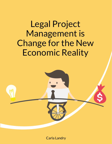

Carla Landry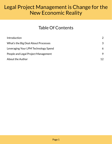### Table Of Contents

| Introduction                         | $\overline{2}$ |
|--------------------------------------|----------------|
| What's the Big Deal About Processes  | $\mathcal{S}$  |
| Leveraging Your LPM Technology Spend | 6              |
| People and Legal Project Management  | 9              |
| About the Author                     |                |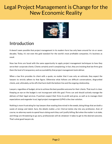

### <span id="page-2-0"></span>Introduction

It doesn't seem possible that project management in its modern form has only been around for six or seven decades. Today, it's not even the gold standard for the world's most profitable companies; it's business as usual.

Now law firms are faced with the same opportunity to apply project management techniques to how they serve their corporate clients. Clients certainly aren't complaining; in fact, they are insisting that law firms give them the level of transparency and accountability that project management tools deliver.

When a law firm provides its client with a quote, no matter that it was only an estimate, they expect the lawyers to strictly adhere to that figure. Otherwise what follows are difficult conversations, disgruntled clients, and, ultimately, write-offs that harm both the bottom line and the ongoing relationship.

Lawyers, regardless of budget, strive to achieve the best possible outcome for their clients. That much is clear. Keeping an eye on the budget is not incongruent with this goal. Firms can and should actively manage the delivery of their legal services. If partners expect their firms to profit and grow, as well as to manage client expectations and engender trust, legal project management (LPM) is the clear solution.

Nothing is more frustrating for top lawyers than wasting time mired in the weeds, doing things that are both a waste of energy and talent. Sure, the details matter...a lot. Clerical duties slip into any profession. And, of course, no attorney wants to spend hours doing work they can't justify billing. But when the matter is at stake, and things are threatening to go awry, professionals will do whatever it takes to get to the desired outcome. That's what good lawyers do.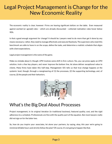The economic reality is clear, however: Firms are leaving significant dollars on the table. Even measured against worked (or agreed) rates – which are already discounted – collected realization rates hover below 90%.

Is that a good enough argument for change? It should be. Lawyers need to do more than get it done by any means necessary; rather, they need to manage effectively and execute flawlessly. The superstars who meet this benchmark are able to hone in on the scope, define the tasks, and determine a realistic schedule that aligns with client expectations.

Legal project management is the name of the game.

Make no mistake about it, though: LPM involves some shift in firm culture. Yes, you can press-apply an LPM solution, train a few key players, and never improve the bottom line, let alone deliver exceptional value to clients. Many firms have taken this half-step. Management 101 tells us that true change happens at the systemic level, though, through a reengineering of (1) the processes, (2) the supporting technology, and, of course, (3) the people and their behaviors.



### <span id="page-3-0"></span>What's the Big Deal About Processes

Project management, in its original iteration (in traditional business), featured quality, cost, and the rigid adherence to a schedule. Professionals are fine with the quality part of the equation. But most lawyers really did not sign on for the latter two.

So, how do you inspire your associates, let alone your partners, by saying, okay, this year we're going to minimize billable hours and strictly follow the plan? Of course, it's not going to happen like that.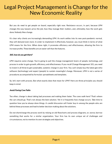But you do need to get people on board, especially right now. Resistance occurs, in part, because LPM changes the way lawyers price the job, how they manage their matters, and, ultimately, how the work gets done. Nobody likes change.

It's clear why clients are increasingly demanding LPM. As work settles into its new post-pandemic normal, they will demand even more. In order to implement it effectively, however, you must think in terms of what LPM means for the firm. When done right, it promotes efficiency and effectiveness, allowing the firm to increase profits. These benefits are an easier sell than the features.

#### Still, how do you get there?

LPM requires some change. You're going to pull the change management levers of people, technology, and process in order to gain growth, efficiency, and effectiveness. If you recall Change Management 101, you need to invest in all three to get sustainable, systemic change in your firm. You can't simply buy the latest gee-whiz software (technology) and expect (people) to sustain meaningful change. Moreover, LPM is not a series of procedures accompanied by formulaic spreadsheets and templates.

So, let's start with process. But what exactly does that mean for LPM? Here are three principles you should keep in mind:

#### Avoid Paving Cow Paths

Too often, change is about taking bad processes and making them faster. The cows walk here? That's where the cars should go. That's not always the best solution. Yet it is frequently how change occurs. Take time to question how you've always done things. A candid discussion will foster buy-in among the people who are behind these processes and lead to better decision‑making about the solutions.

Do not shortchange the process work by relying on old flowcharts and process diagrams, or, worse, borrow something that works for a similar organization. Your firm has its own unique set of challenges and circumstances, not to mention its own strategies and objectives.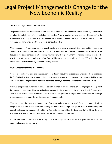#### Link Process Objectives to LPM Initiatives

The processes that will impact LPM should be firmly linked to LPM objectives. This isn't merely a theoretical exercise; it should be part of an actual planning meeting. Prior to starting a single process initiative, define the problem you are trying to solve. The improvements made should benefit the organization as a whole, or, at the very least, not harm one department at the expense of another.

What happens if it's not clear to your constituents why process matters...if the steps suddenly seem too complicated? Then you've either failed to make your case or you are moving too quickly, maybe both. Milk the discussion for objections and treat opposing viewpoints with respect. When you reach a consensus, distill the benefits down to a single guiding principle: "We will improve our value-add to clients." "We will reduce our overall cost." The new economy demands a strong benefit.

#### Make Sure Someone Owns the Processes

A capable somebody within the organization cares deeply about this process and understands its impact on the firm's viability. Assign that person the role of process owner. A process without an owner is like a boat without a rudder. The process owner must be able to identify where their actions intersect with others.

Although the process owner is not likely to be fully trained in process improvement or project management, they should be coachable. They must also have an organizational vantage point and be able to influence other areas outside of their span of control. The process owner provides a single point of contact for the legal project manager and holds the key to successful implementation.

What happens at the three-way intersection of process, technology, and people? Enhanced communications, delighted clients, and fewer collisions among the cows. These steps are geared toward overcoming any natural resistance to change and building a foundation upon which the firm can thrive. Given the right processes, executed in the right way, you'll see real improvement in your ROI.

If there was ever a time to do the things that make a significant difference to your bottom line, that opportunity presents itself now.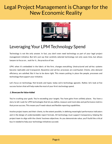

### <span id="page-6-0"></span>Leveraging Your LPM Technology Spend

Technology is not the only answer. In fact, you don't even need technology as part of your legal project management initiative. But let's just say that carefully selected technology not only saves time, but allows lawyers to focus on… wait for it... the practice of law.

LPM, when it's embedded in the fabric of the firm, changes everything. Unstructured and ad-hoc systems become replicable and transparent. Byzantine and ad-hoc processes are overhauled. Clients, who demand efficiency, are satisfied. But it has to be done right. This means putting in place the people, processes and technology that support your initiative.

Let's focus on technology. Not brands and types; today we're technology agnostic. Rather, let's look at five success factors that will help make the most of your firm's technology spend.

#### 1. Showcase the Value-Added

You're crushing your goals. You're exceeding your targets. You have gains from unlikely places. You have a story to tell. Look for LPM technologies that let you define, measure and track data and performance metrics that prove success. This means you'll need robust and flexible reporting capabilities.

Involve project teams and their clients, to the extent possible, in defining meaningful performance indicators and in the design of understandable report formats. All technology must support transparency, helping the project team to align with the clients' business objectives. As you demonstrate value, you'll build the critical buy-in needed to help your technology initiatives succeed.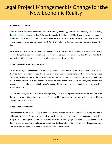#### 2. Define Realistic Goals

Since the 1980s, there has been a loud buzz surrounding technology-spurred productivity gains. In actuality, the U.S. [statistic](https://review.chicagobooth.edu/economics/2018/article/why-hasn-t-technology-sped-productivity) has grown by just 1.2 percent annually since the mid-2000s. Every gee-whiz technology is supposed to increase productivity. Ask how. Demand specifics from your technology vendors. Make sure you're measuring what you care about most. And then build your key performance metrics to capture this data.

Be realistic about what the technology actually delivers. If the solution is allowing attorneys more time to practice law, make sure you answer a key question your partners will have: How does this translate to the bottom line? If it doesn't, you'll need to reevaluate your technology selection.

#### 3. Design <sup>a</sup> Dashboard for Busy Attorneys

The value of project management must be boldly communicated. One of the best ways to do this is via a welldesigned dashboard. However, you should caution your technology vendors against the tendency to 'geek out.' This is not the place to put all the bells and whistles. Make sure that the LPM technology selected includes a user-friendly, customizable dashboard with plenty of white space. This allows practice group leaders and team managers data-based visibility into performance without having to crunch numbers or chase down busy project members.

Leaders and managers, of course, must take a primary role in defining what they want to see and how often they want to see it. Once they have clear evidence of LPM success, these leaders will become the biggest champions of your initiative.

#### 4. Emphasize Collaboration

The work-from-home (WFH) reality is difficult for those who are unfamiliar with collaboration platforms. In addition to Skype and Zoom, law firm employees will need to collaborate on project management activities. Are you currently supporting internal and external collaboration for geographically-dispersed teams? Ensure that your project management platform makes it easy to share information. Not only will this create greater coordination among team members, the group will feel more cohesive.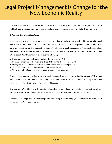During these times of social distancing and WFH, it is particularly important to maintain the firm's culture and facilitate intergroup learning, so that project management becomes a way of life for the new normal.

#### 5. Train for Operational Excellence

In the past, many practices achieved good success by either following the cow path or blazing a trail for each new matter. Others took a more structured approach with somewhat defined processes and systems. Both, however, missed out on the nuanced elements of optimized project management. That was before clients demanded more. Consider training both lawyers and staff to instill the operational discipline required to help LPM succeed. Your training should achieve the following:

- Everyone is on board and understands the importance of LPM
- Everyone understands their role and its contribution to the success of LPM
- Managers use KPIs and metrics to align their efforts with client objectives
- $\bullet$  The firm's metrics encourage behaviors that deliver value
- There are well-defined resources in place to support transparency

Granted, not everyone is going to be a project manager. They don't have to be. But proper LPM training underscores the importance of providing value-added service to clients and cultivating operational excellence. The results can take a firm from good to great.

One final point: Want to ensure the adoption of new technology? Make it immediately salient by integrating it into the broader LPM initiative. There is no better way to help employees grasp the big picture.

Of course, technology without smart people and supporting processes simply will not deliver the productivity gains promised. You need all three.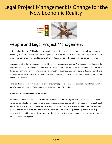

### <span id="page-9-0"></span>People and Legal Project Management

At the end of the day, LPM is about how people perform their jobs. Period. You can install some fancy new technologies and implement even more souped-up processes. But there is no LPM without people. If you're going to deliver value, you'll need to capture the hearts and minds of the people who comprise your firm.

Long gone are the days when employees did things just because you said so. And thankfully so. Because the more you engage your lawyers and your staff in the LPM initiative, the better your outcomes will be. LPM done right will transform your firm and yield a competitive advantage that surprises and delights your clients. In case I haven't said it strongly enough, LPM has the power to transform. But you'll need to tap into the power of the people.

Here are three areas that you can focus on to ensure that people  $-$  arguably, the most important element of transformational change — fully support the success of your LPM initiative.

#### 1. Find sponsors who are committed to LPM

It's one thing to talk the talk. It's quite another to match your actions to your words. The most successful LPM initiatives have leaders who are vested in the project's success. Sponsors have an important role. Although they don't manage any part of the project, they help to create a climate where LPM can succeed. As such, your sponsor should be an executive committee member or come from the partnership ranks. If your sponsor already believes in LPM, great. If not, you'll need to present a strong business case… and keep presenting it until you have an evangelist.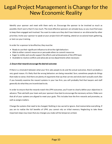Identify your sponsor and meet with them early on. Encourage the sponsor to be involved as much as possible. Don't worry that it's too much. The most effective sponsors are already busy, so you must find ways to keep them engaged and involved. You want to make sure they don't lose interest or are distracted by other priorities. Invite your sponsor to speak at your project kick-off meeting, attend an occasional team gathering, or test run your training.

In order for a sponsor to be effective, they must be:

- Ready to use their significant influence to drive the right behaviors
- Able to either commit resources or persuade others to commit resources
- Eager to visibly and vocally support the efforts and achievements of the LPM team
- Available to resolve conflicts and advocate across departments when necessary

#### 2. Ensure that rewards encourage the desired outcomes

If there is a mismatch between what your firm asks people to do and the actual outcomes, there's probably a very good reason. It's likely that the wrong behaviors are being rewarded. Sure, sometimes people do things that make no sense. And there are plenty of arguments that say that carrots and sticks don't actually work. But if you honestly examine the reward systems in your law firm, you will probably find that lawyers and staff generally do what they are incentivized to do.

In order to ensure that the rewards match the LPM outcomes, you'll want to clearly define your objectives in advance. Then ask both your team and your sponsors how best to encourage the necessary actions. Make sure that all of your systems are aligned to meet your goals. This includes how the firm rewards and promotes, as well as assigns matters.

Change the systems that need to be changed. Nothing is too sacred to ignore. And memorialize everything. If you are to realize the full benefits of LPM, you cannot rely on tribal memory. Neglecting to take these important steps may mean that any changes you make will be temporary at best.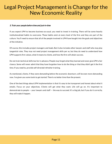#### 3. Train your people before time and just-in-time

If you expect LPM to become business-as-usual, you need to invest in training. There will be some heavily institutionalized habits to overcome. These habits exist at every level of the firm and they are part of the culture. You'll need to ensure that all of the people involved in LPM have bought into the goals and objectives of the initiative.

Of course, this includes project managers and leads. But it also includes other lawyers and staff who may play tangential roles. They may not need project management skills per se, but they do need to understand how LPM supports firm values, what it means to clients, and how the firm will attain success.

Do not train technical skills too far in advance. People may forget what they learned and never give LPM a fair chance. Some will never admit that they have forgotten how to do the thing or that they didn't get it the first time. If you need to, provide self-directed refresher training.

As mentioned, clients, if they were demanding before the economic downturn, will be even more demanding now. I've given you some tools to get started. There's no better time than the present.

One of the best things about LPM implementation is that it's easy to be transparent and honest about what it entails. Focus on your objectives. Clients will get what they want. Life will go on. It's important to demonstrate to people  $-$  your lawyers and staff  $-$  the way to succeed. It's a big job, but if you do it correctly, they will make it happen.